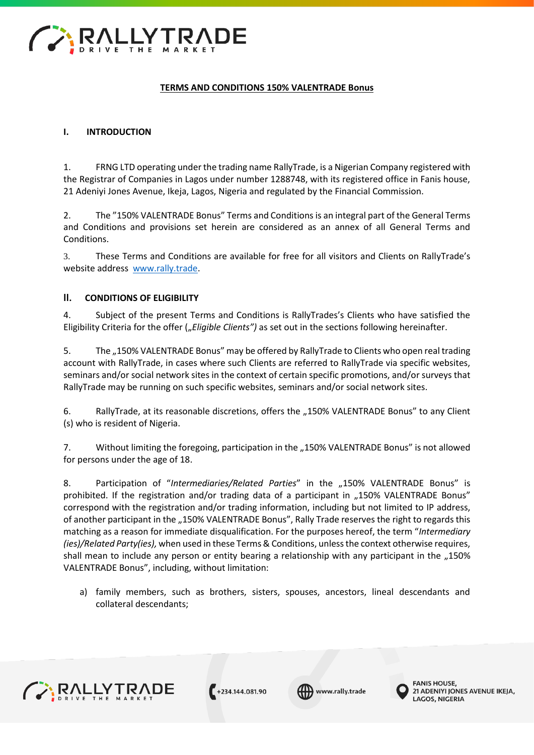

# **TERMS AND CONDITIONS 150% VALENTRADE Bonus**

#### **I. INTRODUCTION**

1. FRNG LTD operating under the trading name RallyTrade, is a Nigerian Company registered with the Registrar of Companies in Lagos under number 1288748, with its registered office in Fanis house, 21 Adeniyi Jones Avenue, Ikeja, Lagos, Nigeria and regulated by the Financial Commission.

2. The "150% VALENTRADE Bonus" Terms and Conditions is an integral part of the General Terms and Conditions and provisions set herein are considered as an annex of all General Terms and Conditions.

3. These Terms and Conditions are available for free for all visitors and Clients on RallyTrade's website address [www.rally.trade.](http://www.forexrally.trade/)

# **II. CONDITIONS OF ELIGIBILITY**

4. Subject of the present Terms and Conditions is RallyTrades's Clients who have satisfied the Eligibility Criteria for the offer ("*Eligible Clients"*) as set out in the sections following hereinafter.

5. The "150% VALENTRADE Bonus" may be offered by RallyTrade to Clients who open real trading account with RallyTrade, in cases where such Clients are referred to RallyTrade via specific websites, seminars and/or social network sites in the context of certain specific promotions, and/or surveys that RallyTrade may be running on such specific websites, seminars and/or social network sites.

6. RallyTrade, at its reasonable discretions, offers the "150% VALENTRADE Bonus" to any Client (s) who is resident of Nigeria.

7. Without limiting the foregoing, participation in the "150% VALENTRADE Bonus" is not allowed for persons under the age of 18.

8. Participation of "*Intermediaries/Related Parties*" in the "150% VALENTRADE Bonus" is prohibited. If the registration and/or trading data of a participant in "150% VALENTRADE Bonus" correspond with the registration and/or trading information, including but not limited to IP address, of another participant in the "150% VALENTRADE Bonus", Rally Trade reserves the right to regards this matching as a reason for immediate disqualification. For the purposes hereof, the term "*Intermediary (ies)/Related Party(ies),* when used in these Terms & Conditions, unless the context otherwise requires, shall mean to include any person or entity bearing a relationship with any participant in the "150% VALENTRADE Bonus", including, without limitation:

a) family members, such as brothers, sisters, spouses, ancestors, lineal descendants and collateral descendants;



 $+234.144.081.90$ 



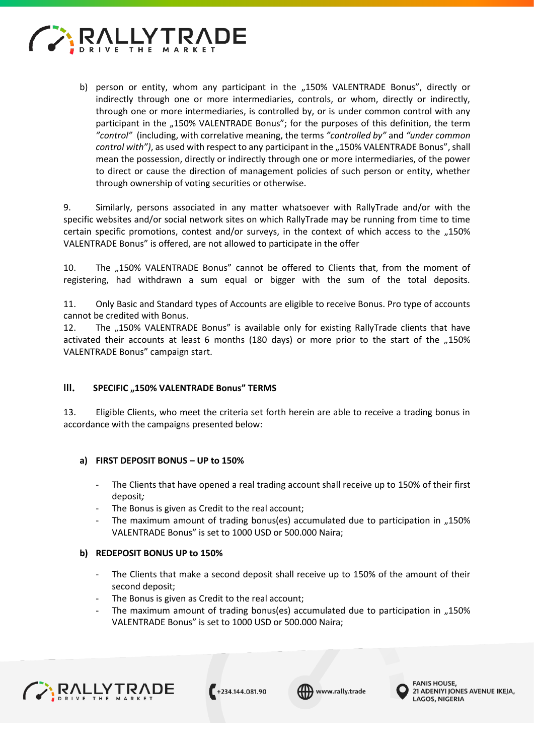

b) person or entity, whom any participant in the "150% VALENTRADE Bonus", directly or indirectly through one or more intermediaries, controls, or whom, directly or indirectly, through one or more intermediaries, is controlled by, or is under common control with any participant in the "150% VALENTRADE Bonus"; for the purposes of this definition, the term *"control"* (including, with correlative meaning, the terms *"controlled by"* and *"under common control with")*, as used with respect to any participant in the "150% VALENTRADE Bonus", shall mean the possession, directly or indirectly through one or more intermediaries, of the power to direct or cause the direction of management policies of such person or entity, whether through ownership of voting securities or otherwise.

9. Similarly, persons associated in any matter whatsoever with RallyTrade and/or with the specific websites and/or social network sites on which RallyTrade may be running from time to time certain specific promotions, contest and/or surveys, in the context of which access to the ..150% VALENTRADE Bonus" is offered, are not allowed to participate in the offer

10. The "150% VALENTRADE Bonus" cannot be offered to Clients that, from the moment of registering, had withdrawn a sum equal or bigger with the sum of the total deposits.

11. Only Basic and Standard types of Accounts are eligible to receive Bonus. Pro type of accounts cannot be credited with Bonus.

12. The "150% VALENTRADE Bonus" is available only for existing RallyTrade clients that have activated their accounts at least 6 months (180 days) or more prior to the start of the  $,150\%$ VALENTRADE Bonus" campaign start.

#### **III. SPECIFIC "150% VALENTRADE Bonus" TERMS**

13. Eligible Clients, who meet the criteria set forth herein are able to receive a trading bonus in accordance with the campaigns presented below:

#### **a) FIRST DEPOSIT BONUS – UP to 150%**

- The Clients that have opened a real trading account shall receive up to 150% of their first deposit*;*
- The Bonus is given as Credit to the real account;
- The maximum amount of trading bonus(es) accumulated due to participation in "150% VALENTRADE Bonus" is set to 1000 USD or 500.000 Naira;

#### **b) REDEPOSIT BONUS UP to 150%**

- The Clients that make a second deposit shall receive up to 150% of the amount of their second deposit;
- The Bonus is given as Credit to the real account;
- The maximum amount of trading bonus(es) accumulated due to participation in  $.150\%$ VALENTRADE Bonus" is set to 1000 USD or 500.000 Naira;



 $+234.144.081.90$ 

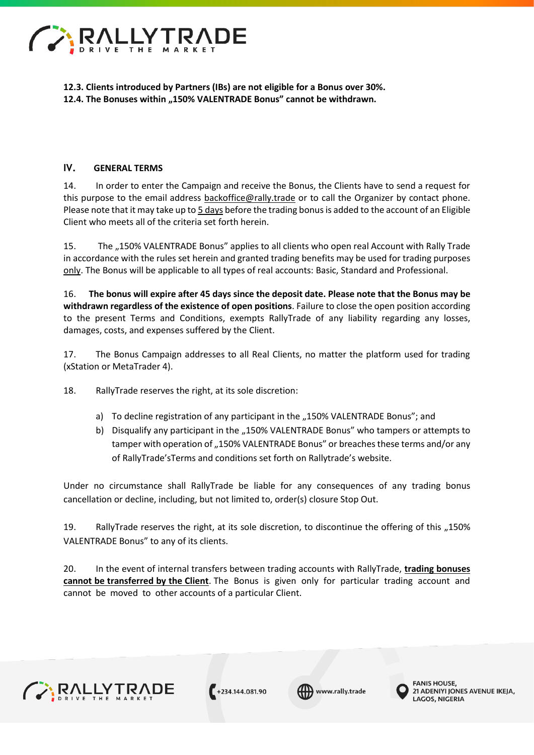

**12.3. Clients introduced by Partners (IBs) are not eligible for a Bonus over 30%. 12.4. The Bonuses within "150% VALENTRADE Bonus" cannot be withdrawn.**

# **IV. GENERAL TERMS**

14. In order to enter the Campaign and receive the Bonus, the Clients have to send a request for this purpose to the email address [backoffice@rally.trade](mailto:backoffice@forexrally.trade) [or](mailto:backoffice@forexrally.trade) to call the Organizer by contact phone. Please note that it may take up to 5 days before the trading bonus is added to the account of an Eligible Client who meets all of the criteria set forth herein.

15. The "150% VALENTRADE Bonus" applies to all clients who open real Account with Rally Trade in accordance with the rules set herein and granted trading benefits may be used for trading purposes only. The Bonus will be applicable to all types of real accounts: Basic, Standard and Professional.

16. **The bonus will expire after 45 days since the deposit date. Please note that the Bonus may be withdrawn regardless of the existence of open positions**. Failure to close the open position according to the present Terms and Conditions, exempts RallyTrade of any liability regarding any losses, damages, costs, and expenses suffered by the Client.

17. The Bonus Campaign addresses to all Real Clients, no matter the platform used for trading (xStation or MetaTrader 4).

18. RallyTrade reserves the right, at its sole discretion:

- a) To decline registration of any participant in the "150% VALENTRADE Bonus"; and
- b) Disqualify any participant in the "150% VALENTRADE Bonus" who tampers or attempts to tamper with operation of "150% VALENTRADE Bonus" or breaches these terms and/or any of RallyTrade'sTerms and conditions set forth on Rallytrade's website.

Under no circumstance shall RallyTrade be liable for any consequences of any trading bonus cancellation or decline, including, but not limited to, order(s) closure Stop Out.

19. RallyTrade reserves the right, at its sole discretion, to discontinue the offering of this "150% VALENTRADE Bonus" to any of its clients.

20. In the event of internal transfers between trading accounts with RallyTrade, **trading bonuses cannot be transferred by the Client**. The Bonus is given only for particular trading account and cannot be moved to other accounts of a particular Client.





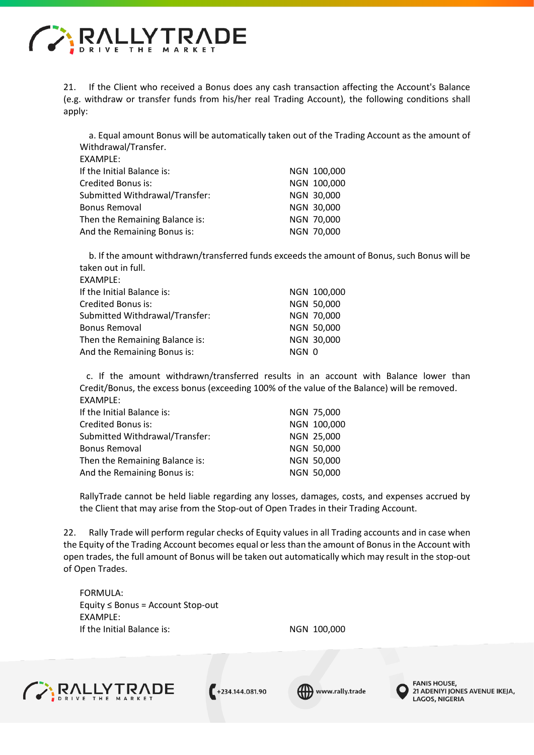

EXAMPLE:

21. If the Client who received a Bonus does any cash transaction affecting the Account's Balance (e.g. withdraw or transfer funds from his/her real Trading Account), the following conditions shall apply:

a. Equal amount Bonus will be automatically taken out of the Trading Account as the amount of Withdrawal/Transfer.

| <b>CAAIVIPLE.</b>              |             |
|--------------------------------|-------------|
| If the Initial Balance is:     | NGN 100,000 |
| Credited Bonus is:             | NGN 100,000 |
| Submitted Withdrawal/Transfer: | NGN 30,000  |
| <b>Bonus Removal</b>           | NGN 30,000  |
| Then the Remaining Balance is: | NGN 70,000  |
| And the Remaining Bonus is:    | NGN 70,000  |

b. If the amount withdrawn/transferred funds exceeds the amount of Bonus, such Bonus will be taken out in full. EXAMPLE:

| NGN 100,000       |
|-------------------|
| NGN 50,000        |
| NGN 70,000        |
| <b>NGN 50,000</b> |
| NGN 30,000        |
|                   |
| NGN 0             |

 c. If the amount withdrawn/transferred results in an account with Balance lower than Credit/Bonus, the excess bonus (exceeding 100% of the value of the Balance) will be removed. EXAMPLE:

| If the Initial Balance is:     | NGN 75,000  |
|--------------------------------|-------------|
| Credited Bonus is:             | NGN 100,000 |
| Submitted Withdrawal/Transfer: | NGN 25,000  |
| <b>Bonus Removal</b>           | NGN 50,000  |
| Then the Remaining Balance is: | NGN 50,000  |
| And the Remaining Bonus is:    | NGN 50,000  |

RallyTrade cannot be held liable regarding any losses, damages, costs, and expenses accrued by the Client that may arise from the Stop-out of Open Trades in their Trading Account.

22. Rally Trade will perform regular checks of Equity values in all Trading accounts and in case when the Equity of the Trading Account becomes equal or less than the amount of Bonus in the Account with open trades, the full amount of Bonus will be taken out automatically which may result in the stop-out of Open Trades.

FORMULA: Equity ≤ Bonus = Account Stop-out EXAMPLE: If the Initial Balance is: NGN 100,000







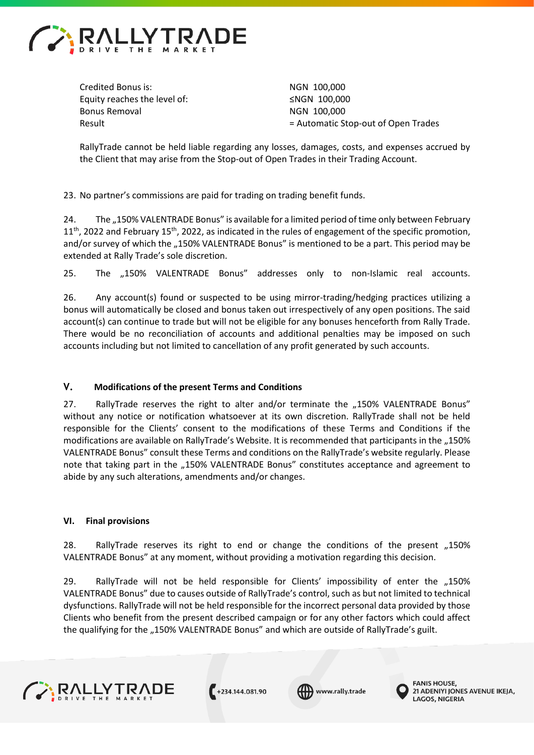

Credited Bonus is: NGN 100.000 Equity reaches the level of: ≤NGN 100,000 Bonus Removal and a series of the NGN 100,000

Result **Example 2** and the Automatic Stop-out of Open Trades

RallyTrade cannot be held liable regarding any losses, damages, costs, and expenses accrued by the Client that may arise from the Stop-out of Open Trades in their Trading Account.

23. No partner's commissions are paid for trading on trading benefit funds.

24. The "150% VALENTRADE Bonus" is available for a limited period of time only between February  $11<sup>th</sup>$ , 2022 and February 15<sup>th</sup>, 2022, as indicated in the rules of engagement of the specific promotion, and/or survey of which the "150% VALENTRADE Bonus" is mentioned to be a part. This period may be extended at Rally Trade's sole discretion.

25. The "150% VALENTRADE Bonus" addresses only to non-Islamic real accounts.

26. Any account(s) found or suspected to be using mirror-trading/hedging practices utilizing a bonus will automatically be closed and bonus taken out irrespectively of any open positions. The said account(s) can continue to trade but will not be eligible for any bonuses henceforth from Rally Trade. There would be no reconciliation of accounts and additional penalties may be imposed on such accounts including but not limited to cancellation of any profit generated by such accounts.

# **V. Modifications of the present Terms and Conditions**

27. RallyTrade reserves the right to alter and/or terminate the "150% VALENTRADE Bonus" without any notice or notification whatsoever at its own discretion. RallyTrade shall not be held responsible for the Clients' consent to the modifications of these Terms and Conditions if the modifications are available on RallyTrade's Website. It is recommended that participants in the "150% VALENTRADE Bonus" consult these Terms and conditions on the RallyTrade's website regularly. Please note that taking part in the "150% VALENTRADE Bonus" constitutes acceptance and agreement to abide by any such alterations, amendments and/or changes.

#### **VI. Final provisions**

28. RallyTrade reserves its right to end or change the conditions of the present "150% VALENTRADE Bonus" at any moment, without providing a motivation regarding this decision.

29. RallyTrade will not be held responsible for Clients' impossibility of enter the "150% VALENTRADE Bonus" due to causes outside of RallyTrade's control, such as but not limited to technical dysfunctions. RallyTrade will not be held responsible for the incorrect personal data provided by those Clients who benefit from the present described campaign or for any other factors which could affect the qualifying for the "150% VALENTRADE Bonus" and which are outside of RallyTrade's guilt.



 $+234.144.081.90$